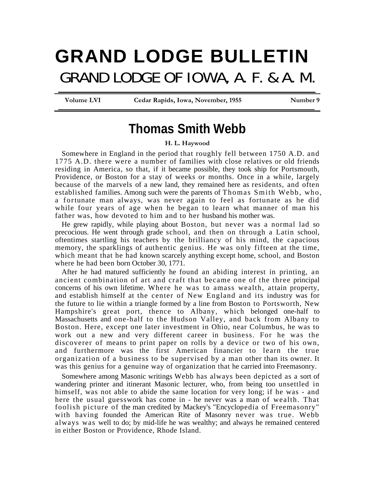## **GRAND LODGE BULLETIN**  GRAND LODGE OF IOWA, A. F. & A. M.

Volume LVI **Cedar Rapids, Iowa, November, 1955** Number 9

## **Thomas Smith Webb**

**H. L. Haywood** 

Somewhere in England in the period that roughly fell between 1750 A.D. and 1775 A.D. there were a number of families with close relatives or old friends residing in America, so that, if it became possible, they took ship for Portsmouth, Providence, or Boston for a stay of weeks or months. Once in a while, largely because of the marvels of a new land, they remained here as residents, and often established families. Among such were the parents of Thomas Smith Webb, who, a fortunate man always, was never again to feel as fortunate as he did while four years of age when he began to learn what manner of man his father was, how devoted to him and to her husband his mother was.

He grew rapidly, while playing about Boston, but never was a normal lad so precocious. He went through grade school, and then on through a Latin school, oftentimes startling his teachers by the brilliancy of his mind, the capacious memory, the sparklings of authentic genius. He was only fifteen at the time, which meant that he had known scarcely anything except home, school, and Boston where he had been born October 30, 1771.

After he had matured sufficiently he found an abiding interest in printing, an ancient combination of art and craft that became one of the three principal concerns of his own lifetime. Where he was to amass wealth, attain property, and establish himself at the center of New England and its industry was for the future to lie within a triangle formed by a line from Boston to Portsworth, New Hampshire's great port, thence to Albany, which belonged one-half to Massachusetts and one-half to the Hudson Valley, and back from Albany to Boston. Here, except one later investment in Ohio, near Columbus, he was to work out a new and very different career in business. For he was the discoverer of means to print paper on rolls by a device or two of his own, and furthermore was the first American financier to learn the true organization of a business to be supervised by a man other than its owner. It was this genius for a genuine way of organization that he carried into Freemasonry.

Somewhere among Masonic writings Webb has always been depicted as a sort of wandering printer and itinerant Masonic lecturer, who, from being too unsettled in himself, was not able to abide the same location for very long; if he was - and here the usual guesswork has come in - he never was a man of wealth. That foolish picture of the man credited by Mackey's "Encyclopedia of Freemasonry" with having founded the American Rite of Masonry never was true. Webb always was well to do; by mid-life he was wealthy; and always he remained centered in either Boston or Providence, Rhode Island.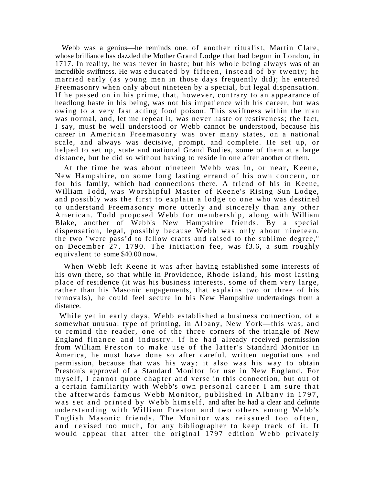Webb was a genius—he reminds one. of another ritualist, Martin Clare, whose brilliance has dazzled the Mother Grand Lodge that had begun in London, in 1717. In reality, he was never in haste; but his whole being always was of an incredible swiftness. He was educated by fifteen, instead of by twenty; he married early (as young men in those days frequently did); he entered Freemasonry when only about nineteen by a special, but legal dispensation. If he passed on in his prime, that, however, contrary to an appearance of headlong haste in his being, was not his impatience with his career, but was owing to a very fast acting food poison. This swiftness within the man was normal, and, let me repeat it, was never haste or restiveness; the fact, I say, must be well understood or Webb cannot be understood, because his career in American Freemasonry was over many states, on a national scale, and always was decisive, prompt, and complete. He set up, or helped to set up, state and national Grand Bodies, some of them at a large distance, but he did so without having to reside in one after another of them.

At the time he was about nineteen Webb was in, or near, Keene, New Hampshire, on some long lasting errand of his own concern, or for his family, which had connections there. A friend of his in Keene, William Todd, was Worshipful Master of Keene's Rising Sun Lodge, and possibly was the first to explain a lodge to one who was destined to understand Freemasonry more utterly and sincerely than any other American. Todd proposed Webb for membership, along with William Blake, another of Webb's New Hampshire friends. By a special dispensation, legal, possibly because Webb was only about nineteen, the two "were pass'd to fellow crafts and raised to the sublime degree," on December 27, 1790. The initiation fee, was f3.6, a sum roughly equivalent to some \$40.00 now.

When Webb left Keene it was after having established some interests of his own there, so that while in Providence, Rhode Island, his most lasting place of residence (it was his business interests, some of them very large, rather than his Masonic engagements, that explains two or three of his removals), he could feel secure in his New Hampshire undertakings from a distance.

While yet in early days, Webb established a business connection, of a somewhat unusual type of printing, in Albany, New York—this was, and to remind the reader, one of the three corners of the triangle of New England finance and industry. If he had already received permission from William Preston to make use of the latter's Standard Monitor in America, he must have done so after careful, written negotiations and permission, because that was his way; it also was his way to obtain Preston's approval of a Standard Monitor for use in New England. For myself, I cannot quote chapter and verse in this connection, but out of a certain familiarity with Webb's own personal career I am sure that the afterwards famous Webb Monitor, published in Albany in 1797, was set and printed by Webb himself, and after he had a clear and definite understanding with William Preston and two others among Webb's English Masonic friends. The Monitor was reissued too often, and revised too much, for any bibliographer to keep track of it. It would appear that after the original 1797 edition Webb privately